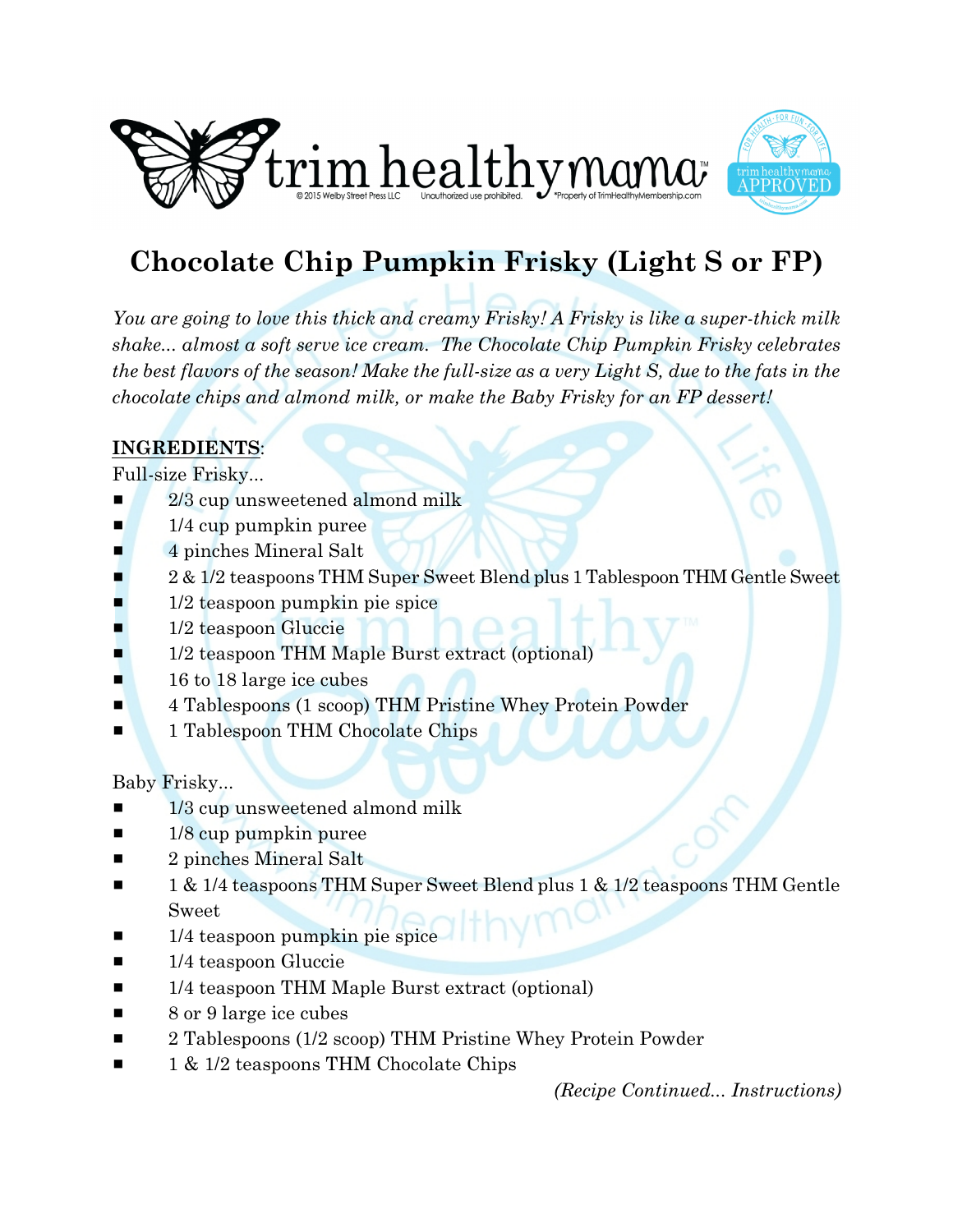



## **Chocolate Chip Pumpkin Frisky (Light S or FP)**

*You are going to love this thick and creamy Frisky! A Frisky is like a super-thick milk shake... almost a soft serve ice cream. The Chocolate Chip Pumpkin Frisky celebrates the best flavors of the season! Make the full-size as a very Light S, due to the fats in the chocolate chips and almond milk, or make the Baby Frisky for an FP dessert!*

## **INGREDIENTS**:

Full-size Frisky...

- 2/3 cup unsweetened almond milk
- $\blacksquare$  1/4 cup pumpkin puree
- $\blacksquare$  4 pinches Mineral Salt
- 2 & 1/2 teaspoons THM Super Sweet Blend plus 1 Tablespoon THM Gentle Sweet
- $1/2$  teaspoon pumpkin pie spice
- 1/2 teaspoon Gluccie
- **1/2 teaspoon THM Maple Burst extract (optional)**
- $\blacksquare$  16 to 18 large ice cubes
- **4 Tablespoons (1 scoop) THM Pristine Whey Protein Powder**
- **1 Tablespoon THM Chocolate Chips**

Baby Frisky...

- $1/3$  cup unsweetened almond milk
- $\blacksquare$  1/8 cup pumpkin puree
- $\blacksquare$  2 pinches Mineral Salt
- 1 & 1/4 teaspoons THM Super Sweet Blend plus 1 & 1/2 teaspoons THM Gentle Sweet
- 1/4 teaspoon pumpkin pie spice
- $\blacksquare$  1/4 teaspoon Gluccie
- $\blacksquare$  1/4 teaspoon THM Maple Burst extract (optional)
- $\blacksquare$  8 or 9 large ice cubes
- 2 Tablespoons (1/2 scoop) THM Pristine Whey Protein Powder
- $\blacksquare$  1 & 1/2 teaspoons THM Chocolate Chips

*(Recipe Continued... Instructions)*